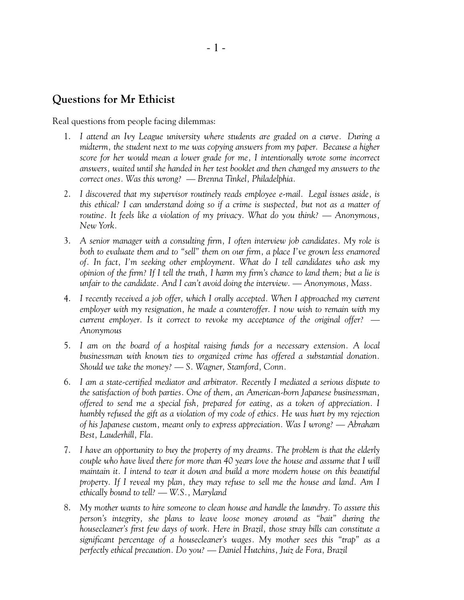## **Questions for Mr Ethicist**

Real questions from people facing dilemmas:

- 1. *I attend an Ivy League university where students are graded on a curve. During a midterm, the student next to me was copying answers from my paper. Because a higher score for her would mean a lower grade for me, I intentionally wrote some incorrect answers, waited until she handed in her test booklet and then changed my answers to the correct ones. Was this wrong? — Brenna Tinkel, Philadelphia.*
- 2. *I discovered that my supervisor routinely reads employee e-mail. Legal issues aside, is this ethical? I can understand doing so if a crime is suspected, but not as a matter of routine. It feels like a violation of my privacy. What do you think? — Anonymous, New York.*
- 3. *A senior manager with a consulting firm, I often interview job candidates. My role is both to evaluate them and to "sell" them on our firm, a place I've grown less enamored of. In fact, I'm seeking other employment. What do I tell candidates who ask my opinion of the firm? If I tell the truth, I harm my firm's chance to land them; but a lie is unfair to the candidate. And I can't avoid doing the interview.—Anonymous, Mass.*
- 4. *I recently received a job offer, which I orally accepted. When I approached my current employer with my resignation, he made a counteroffer.Inow wish to remain with my current employer. Is it correct to revoke my acceptance of the original offer? — Anonymous*
- 5. *I am on the board of a hospital raising funds for a necessary extension. A local businessman with known ties to organized crime has offered a substantial donation. Should we take the money? — S. Wagner, Stamford, Conn.*
- 6. *I am a state-certified mediator and arbitrator. Recently I mediated a serious dispute to the satisfaction of both parties. One of them, an American-born Japanese businessman, offered to send me a special fish, prepared for eating, as a token of appreciation. I humbly refused the gift as a violation of my code of ethics. He was hurt by my rejection of his Japanese custom, meant only to express appreciation. Was I wrong? — Abraham Best, Lauderhill, Fla.*
- 7. *I have an opportunity to buy the property of my dreams. The problem is that the elderly couple who have lived there for more than 40 years love the house and assume that I will maintain it. I intend to tear it down and build a more modern house on this beautiful property. IfIreveal my plan, they may refuse to sell me the house and land. Am I ethically bound to tell? — W.S., Maryland*
- 8. *My mother wants to hire someone to clean house and handle the laundry. To assure this person's integrity, she plans to leave loose money around as "bait" during the housecleaner's first few days of work. Here in Brazil, those stray bills can constitute a significant percentage of a housecleaner's wages. My mother sees this "trap" as a perfectly ethical precaution. Do you? — Daniel Hutchins, Juiz de Fora, Brazil*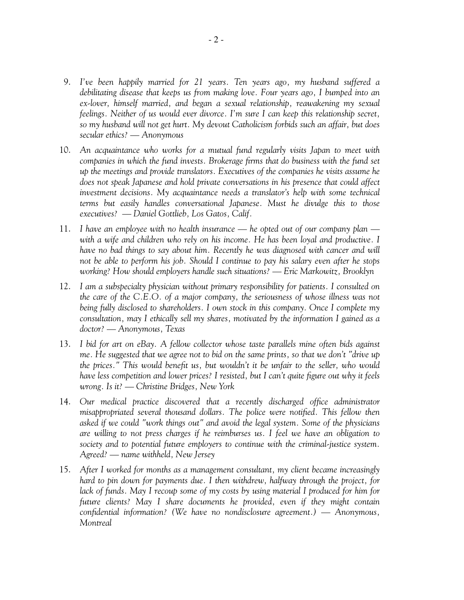- 9. *I've been happily married for 21 years. Ten years ago, my husband suffered a debilitating disease that keeps us from making love. Four years ago, I bumped into an ex-lover, himself married, and began a sexual relationship, reawakening my sexual feelings. Neither of us would ever divorce. I'm sure I can keep this relationship secret, so my husband will not get hurt. My devout Catholicism forbids such an affair, but does secular ethics? — Anonymous*
- 10. *An acquaintance who works for a mutual fund regularly visits Japan to meet with companies in which the fund invests. Brokerage firms that do business with the fund set up the meetings and provide translators. Executives of the companies he visits assume he does not speak Japanese and hold private conversations in his presence that could affect investment decisions. My acquaintance needs a translator's help with some technical terms but easily handles conversational Japanese. Must he divulge this to those executives? — Daniel Gottlieb, Los Gatos, Calif.*
- 11. *I have an employee with no health insurance he opted out of our company plan with a wife and children who rely on his income. He has been loyal and productive. I have no bad things to say about him. Recently he was diagnosed with cancer and will not be able to perform his job. Should I continue to pay his salary even after he stops working? How should employers handle such situations? — Eric Markowitz, Brooklyn*
- 12. *I am a subspecialty physician without primary responsibility for patients. I consulted on the care of the C.E.O. of a major company, the seriousness of whose illness was not being fully disclosed to shareholders. I own stock in this company. Once I complete my consultation, may I ethically sell my shares, motivated by the information I gained as a doctor? — Anonymous, Texas*
- 13. *I bid for art on eBay. A fellow collector whose taste parallels mine often bids against me. He suggested that we agree not to bid on the same prints, so that we don't "drive up the prices." This would benefit us, but wouldn't it be unfair to the seller, who would have less competition and lower prices? I resisted, but I can't quite figure out why it feels wrong. Is it? — Christine Bridges, New York*
- 14. *Our medical practice discovered that a recently discharged office administrator misappropriated several thousand dollars. The police were notified. This fellow then asked if we could "work things out" and avoid the legal system. Some of the physicians are willing to not press charges if he reimburses us. I feel we have an obligation to society and to potential future employers to continue with the criminal-justice system. Agreed? — name withheld, New Jersey*
- 15. *After I worked for months as a management consultant, my client became increasingly hard to pin down for payments due. I then withdrew, halfway through the project, for lack of funds. May I recoup some of my costs by using material I produced for him for future clients? May I share documents he provided, even if they might contain confidential information? (We have no nondisclosure agreement.) — Anonymous, Montreal*